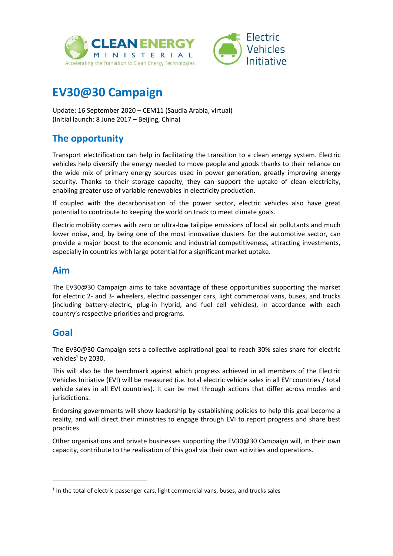



# **EV30@30 Campaign**

Update: 16 September 2020 – CEM11 (Saudia Arabia, virtual) (Initial launch: 8 June 2017 – Beijing, China)

# **The opportunity**

Transport electrification can help in facilitating the transition to a clean energy system. Electric vehicles help diversify the energy needed to move people and goods thanks to their reliance on the wide mix of primary energy sources used in power generation, greatly improving energy security. Thanks to their storage capacity, they can support the uptake of clean electricity, enabling greater use of variable renewables in electricity production.

If coupled with the decarbonisation of the power sector, electric vehicles also have great potential to contribute to keeping the world on track to meet climate goals.

Electric mobility comes with zero or ultra-low tailpipe emissions of local air pollutants and much lower noise, and, by being one of the most innovative clusters for the automotive sector, can provide a major boost to the economic and industrial competitiveness, attracting investments, especially in countries with large potential for a significant market uptake.

# **Aim**

The EV30@30 Campaign aims to take advantage of these opportunities supporting the market for electric 2- and 3- wheelers, electric passenger cars, light commercial vans, buses, and trucks (including battery-electric, plug-in hybrid, and fuel cell vehicles), in accordance with each country's respective priorities and programs.

# **Goal**

1

The EV30@30 Campaign sets a collective aspirational goal to reach 30% sales share for electric vehicles<sup>1</sup> by 2030.

This will also be the benchmark against which progress achieved in all members of the Electric Vehicles Initiative (EVI) will be measured (i.e. total electric vehicle sales in all EVI countries / total vehicle sales in all EVI countries). It can be met through actions that differ across modes and jurisdictions.

Endorsing governments will show leadership by establishing policies to help this goal become a reality, and will direct their ministries to engage through EVI to report progress and share best practices.

Other organisations and private businesses supporting the EV30@30 Campaign will, in their own capacity, contribute to the realisation of this goal via their own activities and operations.

 $<sup>1</sup>$  In the total of electric passenger cars, light commercial vans, buses, and trucks sales</sup>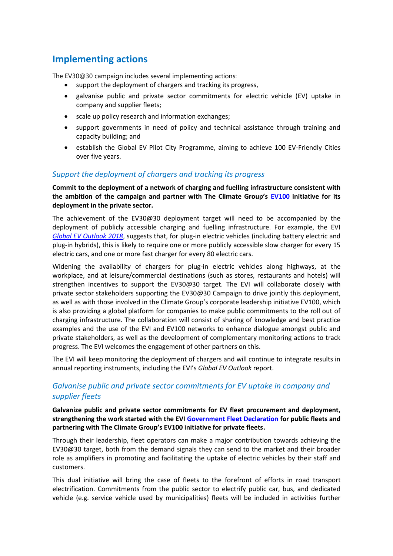# **Implementing actions**

The EV30@30 campaign includes several implementing actions:

- support the deployment of chargers and tracking its progress,
- galvanise public and private sector commitments for electric vehicle (EV) uptake in company and supplier fleets;
- scale up policy research and information exchanges;
- support governments in need of policy and technical assistance through training and capacity building; and
- establish the Global EV Pilot City Programme, aiming to achieve 100 EV-Friendly Cities over five years.

### *Support the deployment of chargers and tracking its progress*

**Commit to the deployment of a network of charging and fuelling infrastructure consistent with the ambition of the campaign and partner with The Climate Group's [EV100](https://www.theclimategroup.org/project/ev100) initiative for its deployment in the private sector.**

The achievement of the EV30@30 deployment target will need to be accompanied by the deployment of publicly accessible charging and fuelling infrastructure. For example, the EVI *[Global EV Outlook 2018](https://webstore.iea.org/download/direct/1045?fileName=Global_EV_Outlook_2018.pdf)*, suggests that, for plug-in electric vehicles (including battery electric and plug-in hybrids), this is likely to require one or more publicly accessible slow charger for every 15 electric cars, and one or more fast charger for every 80 electric cars.

Widening the availability of chargers for plug-in electric vehicles along highways, at the workplace, and at leisure/commercial destinations (such as stores, restaurants and hotels) will strengthen incentives to support the EV30@30 target. The EVI will collaborate closely with private sector stakeholders supporting the EV30@30 Campaign to drive jointly this deployment, as well as with those involved in the Climate Group's corporate leadership initiative EV100, which is also providing a global platform for companies to make public commitments to the roll out of charging infrastructure. The collaboration will consist of sharing of knowledge and best practice examples and the use of the EVI and EV100 networks to enhance dialogue amongst public and private stakeholders, as well as the development of complementary monitoring actions to track progress. The EVI welcomes the engagement of other partners on this.

The EVI will keep monitoring the deployment of chargers and will continue to integrate results in annual reporting instruments, including the EVI's *Global EV Outlook* report.

### *Galvanise public and private sector commitments for EV uptake in company and supplier fleets*

**Galvanize public and private sector commitments for EV fleet procurement and deployment, strengthening the work started with the EVI [Government Fleet Declaration](https://www.iea.org/media/topics/transport/EVI_Government_Fleet_Declaration.pdf) for public fleets and partnering with The Climate Group's EV100 initiative for private fleets.**

Through their leadership, fleet operators can make a major contribution towards achieving the EV30@30 target, both from the demand signals they can send to the market and their broader role as amplifiers in promoting and facilitating the uptake of electric vehicles by their staff and customers.

This dual initiative will bring the case of fleets to the forefront of efforts in road transport electrification. Commitments from the public sector to electrify public car, bus, and dedicated vehicle (e.g. service vehicle used by municipalities) fleets will be included in activities further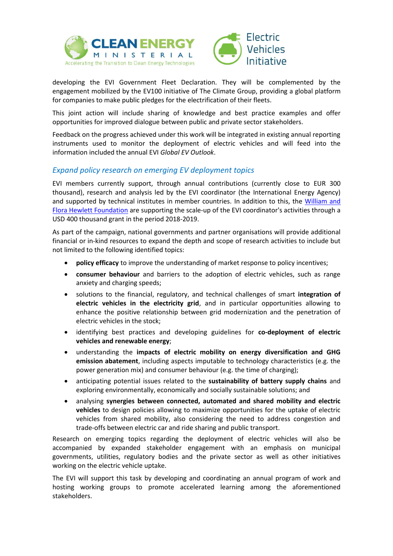



developing the EVI Government Fleet Declaration. They will be complemented by the engagement mobilized by the EV100 initiative of The Climate Group, providing a global platform for companies to make public pledges for the electrification of their fleets.

This joint action will include sharing of knowledge and best practice examples and offer opportunities for improved dialogue between public and private sector stakeholders.

Feedback on the progress achieved under this work will be integrated in existing annual reporting instruments used to monitor the deployment of electric vehicles and will feed into the information included the annual EVI *Global EV Outlook*.

### *Expand policy research on emerging EV deployment topics*

EVI members currently support, through annual contributions (currently close to EUR 300 thousand), research and analysis led by the EVI coordinator (the International Energy Agency) and supported by technical institutes in member countries. In addition to this, the [William and](https://hewlett.org/about-us/)  Flora [Hewlett Foundation](https://hewlett.org/about-us/) are supporting the scale-up of the EVI coordinator's activities through a USD 400 thousand grant in the period 2018-2019.

As part of the campaign, national governments and partner organisations will provide additional financial or in-kind resources to expand the depth and scope of research activities to include but not limited to the following identified topics:

- **policy efficacy** to improve the understanding of market response to policy incentives;
- **consumer behaviour** and barriers to the adoption of electric vehicles, such as range anxiety and charging speeds;
- solutions to the financial, regulatory, and technical challenges of smart **integration of electric vehicles in the electricity grid**, and in particular opportunities allowing to enhance the positive relationship between grid modernization and the penetration of electric vehicles in the stock;
- identifying best practices and developing guidelines for **co-deployment of electric vehicles and renewable energy**;
- understanding the **impacts of electric mobility on energy diversification and GHG emission abatement**, including aspects imputable to technology characteristics (e.g. the power generation mix) and consumer behaviour (e.g. the time of charging);
- anticipating potential issues related to the **sustainability of battery supply chains** and exploring environmentally, economically and socially sustainable solutions; and
- analysing **synergies between connected, automated and shared mobility and electric vehicles** to design policies allowing to maximize opportunities for the uptake of electric vehicles from shared mobility, also considering the need to address congestion and trade-offs between electric car and ride sharing and public transport.

Research on emerging topics regarding the deployment of electric vehicles will also be accompanied by expanded stakeholder engagement with an emphasis on municipal governments, utilities, regulatory bodies and the private sector as well as other initiatives working on the electric vehicle uptake.

The EVI will support this task by developing and coordinating an annual program of work and hosting working groups to promote accelerated learning among the aforementioned stakeholders.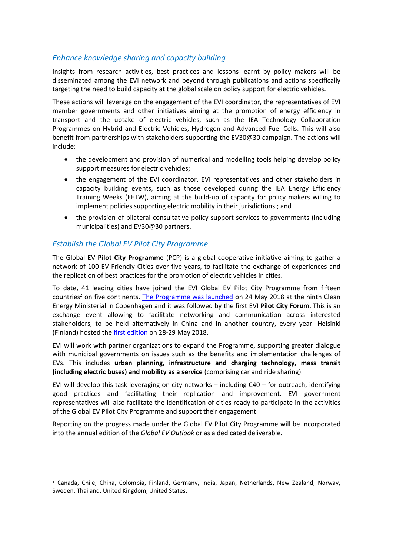### *Enhance knowledge sharing and capacity building*

Insights from research activities, best practices and lessons learnt by policy makers will be disseminated among the EVI network and beyond through publications and actions specifically targeting the need to build capacity at the global scale on policy support for electric vehicles.

These actions will leverage on the engagement of the EVI coordinator, the representatives of EVI member governments and other initiatives aiming at the promotion of energy efficiency in transport and the uptake of electric vehicles, such as the IEA Technology Collaboration Programmes on Hybrid and Electric Vehicles, Hydrogen and Advanced Fuel Cells. This will also benefit from partnerships with stakeholders supporting the EV30@30 campaign. The actions will include:

- the development and provision of numerical and modelling tools helping develop policy support measures for electric vehicles;
- the engagement of the EVI coordinator, EVI representatives and other stakeholders in capacity building events, such as those developed during the IEA Energy Efficiency Training Weeks (EETW), aiming at the build-up of capacity for policy makers willing to implement policies supporting electric mobility in their jurisdictions.; and
- the provision of bilateral consultative policy support services to governments (including municipalities) and EV30@30 partners.

#### *Establish the Global EV Pilot City Programme*

-

The Global EV **Pilot City Programme** (PCP) is a global cooperative initiative aiming to gather a network of 100 EV-Friendly Cities over five years, to facilitate the exchange of experiences and the replication of best practices for the promotion of electric vehicles in cities.

To date, 41 leading cities have joined the EVI Global EV Pilot City Programme from fifteen countries<sup>2</sup> on five continents. [The Programme was launched](https://www.iea.org/newsroom/news/2018/may/global-ev-pilot-city-programme-launched-at-clean-energy-ministerial.html) on 24 May 2018 at the ninth Clean Energy Ministerial in Copenhagen and it was followed by the first EVI **Pilot City Forum**. This is an exchange event allowing to facilitate networking and communication across interested stakeholders, to be held alternatively in China and in another country, every year. Helsinki (Finland) hosted the [first edition](http://www.iea.org/workshops/cem---evi-pilot-city-forum-2018-event.html) on 28-29 May 2018.

EVI will work with partner organizations to expand the Programme, supporting greater dialogue with municipal governments on issues such as the benefits and implementation challenges of EVs. This includes **urban planning, infrastructure and charging technology, mass transit (including electric buses) and mobility as a service** (comprising car and ride sharing).

EVI will develop this task leveraging on city networks – including C40 – for outreach, identifying good practices and facilitating their replication and improvement. EVI government representatives will also facilitate the identification of cities ready to participate in the activities of the Global EV Pilot City Programme and support their engagement.

Reporting on the progress made under the Global EV Pilot City Programme will be incorporated into the annual edition of the *Global EV Outlook* or as a dedicated deliverable*.*

<sup>2</sup> Canada, Chile, China, Colombia, Finland, Germany, India, Japan, Netherlands, New Zealand, Norway, Sweden, Thailand, United Kingdom, United States.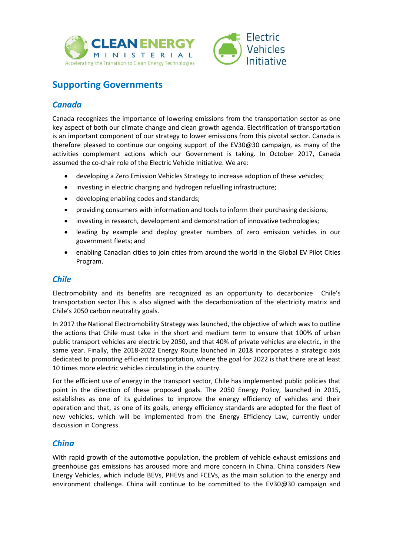



# **Supporting Governments**

# *Canada*

Canada recognizes the importance of lowering emissions from the transportation sector as one key aspect of both our climate change and clean growth agenda. Electrification of transportation is an important component of our strategy to lower emissions from this pivotal sector. Canada is therefore pleased to continue our ongoing support of the EV30@30 campaign, as many of the activities complement actions which our Government is taking. In October 2017, Canada assumed the co-chair role of the Electric Vehicle Initiative. We are:

- developing a Zero Emission Vehicles Strategy to increase adoption of these vehicles;
- investing in electric charging and hydrogen refuelling infrastructure;
- developing enabling codes and standards;
- providing consumers with information and tools to inform their purchasing decisions;
- investing in research, development and demonstration of innovative technologies;
- leading by example and deploy greater numbers of zero emission vehicles in our government fleets; and
- enabling Canadian cities to join cities from around the world in the Global EV Pilot Cities Program.

# *Chile*

Electromobility and its benefits are recognized as an opportunity to decarbonize Chile's transportation sector.This is also aligned with the decarbonization of the electricity matrix and Chile's 2050 carbon neutrality goals.

In 2017 the National Electromobility Strategy was launched, the objective of which was to outline the actions that Chile must take in the short and medium term to ensure that 100% of urban public transport vehicles are electric by 2050, and that 40% of private vehicles are electric, in the same year. Finally, the 2018-2022 Energy Route launched in 2018 incorporates a strategic axis dedicated to promoting efficient transportation, where the goal for 2022 is that there are at least 10 times more electric vehicles circulating in the country.

For the efficient use of energy in the transport sector, Chile has implemented public policies that point in the direction of these proposed goals. The 2050 Energy Policy, launched in 2015, establishes as one of its guidelines to improve the energy efficiency of vehicles and their operation and that, as one of its goals, energy efficiency standards are adopted for the fleet of new vehicles, which will be implemented from the Energy Efficiency Law, currently under discussion in Congress.

### *China*

With rapid growth of the automotive population, the problem of vehicle exhaust emissions and greenhouse gas emissions has aroused more and more concern in China. China considers New Energy Vehicles, which include BEVs, PHEVs and FCEVs, as the main solution to the energy and environment challenge. China will continue to be committed to the EV30@30 campaign and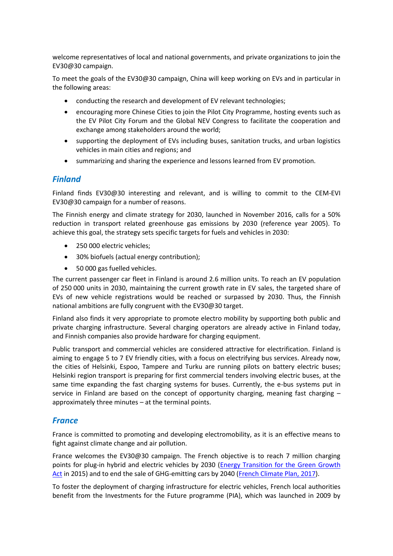welcome representatives of local and national governments, and private organizations to join the EV30@30 campaign.

To meet the goals of the EV30@30 campaign, China will keep working on EVs and in particular in the following areas:

- conducting the research and development of EV relevant technologies;
- encouraging more Chinese Cities to join the Pilot City Programme, hosting events such as the EV Pilot City Forum and the Global NEV Congress to facilitate the cooperation and exchange among stakeholders around the world;
- supporting the deployment of EVs including buses, sanitation trucks, and urban logistics vehicles in main cities and regions; and
- summarizing and sharing the experience and lessons learned from EV promotion.

### *Finland*

Finland finds EV30@30 interesting and relevant, and is willing to commit to the CEM-EVI EV30@30 campaign for a number of reasons.

The Finnish energy and climate strategy for 2030, launched in November 2016, calls for a 50% reduction in transport related greenhouse gas emissions by 2030 (reference year 2005). To achieve this goal, the strategy sets specific targets for fuels and vehicles in 2030:

- 250 000 electric vehicles;
- 30% biofuels (actual energy contribution);
- 50 000 gas fuelled vehicles.

The current passenger car fleet in Finland is around 2.6 million units. To reach an EV population of 250 000 units in 2030, maintaining the current growth rate in EV sales, the targeted share of EVs of new vehicle registrations would be reached or surpassed by 2030. Thus, the Finnish national ambitions are fully congruent with the EV30@30 target.

Finland also finds it very appropriate to promote electro mobility by supporting both public and private charging infrastructure. Several charging operators are already active in Finland today, and Finnish companies also provide hardware for charging equipment.

Public transport and commercial vehicles are considered attractive for electrification. Finland is aiming to engage 5 to 7 EV friendly cities, with a focus on electrifying bus services. Already now, the cities of Helsinki, Espoo, Tampere and Turku are running pilots on battery electric buses; Helsinki region transport is preparing for first commercial tenders involving electric buses, at the same time expanding the fast charging systems for buses. Currently, the e-bus systems put in service in Finland are based on the concept of opportunity charging, meaning fast charging approximately three minutes – at the terminal points.

### *France*

France is committed to promoting and developing electromobility, as it is an effective means to fight against climate change and air pollution.

France welcomes the EV30@30 campaign. The French objective is to reach 7 million charging points for plug-in hybrid and electric vehicles by 2030 [\(Energy Transition for the Green Growth](https://www.ecologique-solidaire.gouv.fr/loi-transition-energetique-croissance-verte)  [Act](https://www.ecologique-solidaire.gouv.fr/loi-transition-energetique-croissance-verte) in 2015) and to end the sale of GHG-emitting cars by 2040 [\(French Climate Plan, 2017\)](https://www.ecologique-solidaire.gouv.fr/politiques/plan-climat).

To foster the deployment of charging infrastructure for electric vehicles, French local authorities benefit from the Investments for the Future programme (PIA), which was launched in 2009 by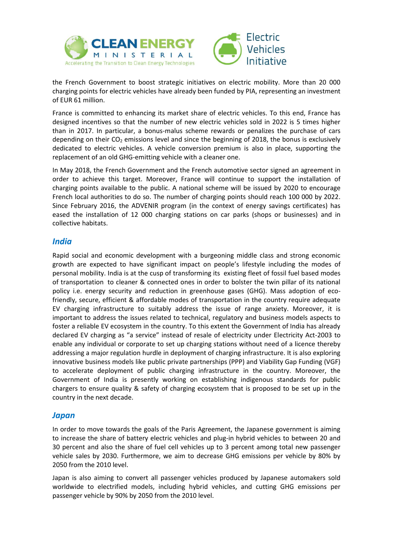



the French Government to boost strategic initiatives on electric mobility. More than 20 000 charging points for electric vehicles have already been funded by PIA, representing an investment of EUR 61 million.

France is committed to enhancing its market share of electric vehicles. To this end, France has designed incentives so that the number of new electric vehicles sold in 2022 is 5 times higher than in 2017. In particular, a bonus-malus scheme rewards or penalizes the purchase of cars depending on their  $CO<sub>2</sub>$  emissions level and since the beginning of 2018, the bonus is exclusively dedicated to electric vehicles. A vehicle conversion premium is also in place, supporting the replacement of an old GHG-emitting vehicle with a cleaner one.

In May 2018, the French Government and the French automotive sector signed an agreement in order to achieve this target. Moreover, France will continue to support the installation of charging points available to the public. A national scheme will be issued by 2020 to encourage French local authorities to do so. The number of charging points should reach 100 000 by 2022. Since February 2016, the ADVENIR program (in the context of energy savings certificates) has eased the installation of 12 000 charging stations on car parks (shops or businesses) and in collective habitats.

#### *India*

Rapid social and economic development with a burgeoning middle class and strong economic growth are expected to have significant impact on people's lifestyle including the modes of personal mobility. India is at the cusp of transforming its existing fleet of fossil fuel based modes of transportation to cleaner & connected ones in order to bolster the twin pillar of its national policy i.e. energy security and reduction in greenhouse gases (GHG). Mass adoption of ecofriendly, secure, efficient & affordable modes of transportation in the country require adequate EV charging infrastructure to suitably address the issue of range anxiety. Moreover, it is important to address the issues related to technical, regulatory and business models aspects to foster a reliable EV ecosystem in the country. To this extent the Government of India has already declared EV charging as "a service" instead of resale of electricity under Electricity Act-2003 to enable any individual or corporate to set up charging stations without need of a licence thereby addressing a major regulation hurdle in deployment of charging infrastructure. It is also exploring innovative business models like public private partnerships (PPP) and Viability Gap Funding (VGF) to accelerate deployment of public charging infrastructure in the country. Moreover, the Government of India is presently working on establishing indigenous standards for public chargers to ensure quality & safety of charging ecosystem that is proposed to be set up in the country in the next decade.

### *Japan*

In order to move towards the goals of the Paris Agreement, the Japanese government is aiming to increase the share of battery electric vehicles and plug-in hybrid vehicles to between 20 and 30 percent and also the share of fuel cell vehicles up to 3 percent among total new passenger vehicle sales by 2030. Furthermore, we aim to decrease GHG emissions per vehicle by 80% by 2050 from the 2010 level.

Japan is also aiming to convert all passenger vehicles produced by Japanese automakers sold worldwide to electrified models, including hybrid vehicles, and cutting GHG emissions per passenger vehicle by 90% by 2050 from the 2010 level.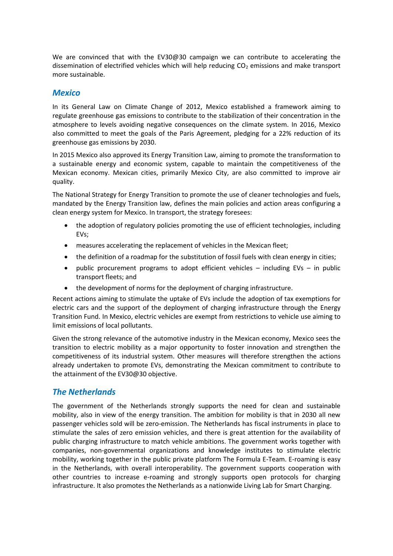We are convinced that with the EV30@30 campaign we can contribute to accelerating the dissemination of electrified vehicles which will help reducing  $CO<sub>2</sub>$  emissions and make transport more sustainable.

#### *Mexico*

In its General Law on Climate Change of 2012, Mexico established a framework aiming to regulate greenhouse gas emissions to contribute to the stabilization of their concentration in the atmosphere to levels avoiding negative consequences on the climate system. In 2016, Mexico also committed to meet the goals of the Paris Agreement, pledging for a 22% reduction of its greenhouse gas emissions by 2030.

In 2015 Mexico also approved its Energy Transition Law, aiming to promote the transformation to a sustainable energy and economic system, capable to maintain the competitiveness of the Mexican economy. Mexican cities, primarily Mexico City, are also committed to improve air quality.

The National Strategy for Energy Transition to promote the use of cleaner technologies and fuels, mandated by the Energy Transition law, defines the main policies and action areas configuring a clean energy system for Mexico. In transport, the strategy foresees:

- the adoption of regulatory policies promoting the use of efficient technologies, including EVs;
- measures accelerating the replacement of vehicles in the Mexican fleet;
- the definition of a roadmap for the substitution of fossil fuels with clean energy in cities;
- public procurement programs to adopt efficient vehicles including EVs in public transport fleets; and
- the development of norms for the deployment of charging infrastructure.

Recent actions aiming to stimulate the uptake of EVs include the adoption of tax exemptions for electric cars and the support of the deployment of charging infrastructure through the Energy Transition Fund. In Mexico, electric vehicles are exempt from restrictions to vehicle use aiming to limit emissions of local pollutants.

Given the strong relevance of the automotive industry in the Mexican economy, Mexico sees the transition to electric mobility as a major opportunity to foster innovation and strengthen the competitiveness of its industrial system. Other measures will therefore strengthen the actions already undertaken to promote EVs, demonstrating the Mexican commitment to contribute to the attainment of the EV30@30 objective.

### *The Netherlands*

The government of the Netherlands strongly supports the need for clean and sustainable mobility, also in view of the energy transition. The ambition for mobility is that in 2030 all new passenger vehicles sold will be zero-emission. The Netherlands has fiscal instruments in place to stimulate the sales of zero emission vehicles, and there is great attention for the availability of public charging infrastructure to match vehicle ambitions. The government works together with companies, non-governmental organizations and knowledge institutes to stimulate electric mobility, working together in the public private platform The Formula E-Team. E-roaming is easy in the Netherlands, with overall interoperability. The government supports cooperation with other countries to increase e-roaming and strongly supports open protocols for charging infrastructure. It also promotes the Netherlands as a nationwide Living Lab for Smart Charging.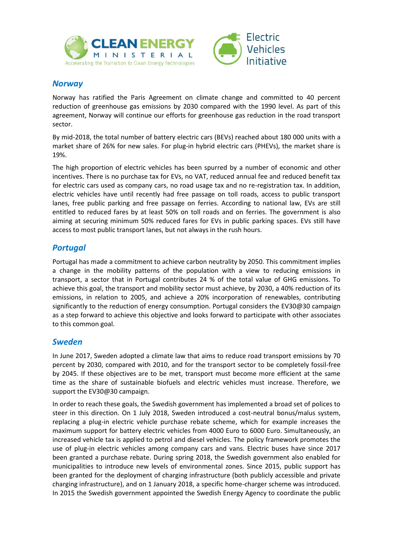



### *Norway*

Norway has ratified the Paris Agreement on climate change and committed to 40 percent reduction of greenhouse gas emissions by 2030 compared with the 1990 level. As part of this agreement, Norway will continue our efforts for greenhouse gas reduction in the road transport sector.

By mid-2018, the total number of battery electric cars (BEVs) reached about 180 000 units with a market share of 26% for new sales. For plug-in hybrid electric cars (PHEVs), the market share is 19%.

The high proportion of electric vehicles has been spurred by a number of economic and other incentives. There is no purchase tax for EVs, no VAT, reduced annual fee and reduced benefit tax for electric cars used as company cars, no road usage tax and no re-registration tax. In addition, electric vehicles have until recently had free passage on toll roads, access to public transport lanes, free public parking and free passage on ferries. According to national law, EVs are still entitled to reduced fares by at least 50% on toll roads and on ferries. The government is also aiming at securing minimum 50% reduced fares for EVs in public parking spaces. EVs still have access to most public transport lanes, but not always in the rush hours.

# *Portugal*

Portugal has made a commitment to achieve carbon neutrality by 2050. This commitment implies a change in the mobility patterns of the population with a view to reducing emissions in transport, a sector that in Portugal contributes 24 % of the total value of GHG emissions. To achieve this goal, the transport and mobility sector must achieve, by 2030, a 40% reduction of its emissions, in relation to 2005, and achieve a 20% incorporation of renewables, contributing significantly to the reduction of energy consumption. Portugal considers the EV30@30 campaign as a step forward to achieve this objective and looks forward to participate with other associates to this common goal.

### *Sweden*

In June 2017, Sweden adopted a climate law that aims to reduce road transport emissions by 70 percent by 2030, compared with 2010, and for the transport sector to be completely fossil-free by 2045. If these objectives are to be met, transport must become more efficient at the same time as the share of sustainable biofuels and electric vehicles must increase. Therefore, we support the EV30@30 campaign.

In order to reach these goals, the Swedish government has implemented a broad set of polices to steer in this direction. On 1 July 2018, Sweden introduced a cost-neutral bonus/malus system, replacing a plug-in electric vehicle purchase rebate scheme, which for example increases the maximum support for battery electric vehicles from 4000 Euro to 6000 Euro. Simultaneously, an increased vehicle tax is applied to petrol and diesel vehicles. The policy framework promotes the use of plug-in electric vehicles among company cars and vans. Electric buses have since 2017 been granted a purchase rebate. During spring 2018, the Swedish government also enabled for municipalities to introduce new levels of environmental zones. Since 2015, public support has been granted for the deployment of charging infrastructure (both publicly accessible and private charging infrastructure), and on 1 January 2018, a specific home-charger scheme was introduced. In 2015 the Swedish government appointed the Swedish Energy Agency to coordinate the public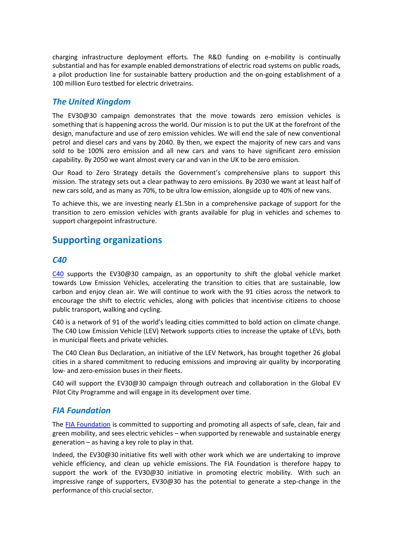charging infrastructure deployment efforts. The R&D funding on e-mobility is continually substantial and has for example enabled demonstrations of electric road systems on public roads, a pilot production line for sustainable battery production and the on-going establishment of a 100 million Euro testbed for electric drivetrains.

### *The United Kingdom*

The EV30@30 campaign demonstrates that the move towards zero emission vehicles is something that is happening across the world. Our mission is to put the UK at the forefront of the design, manufacture and use of zero emission vehicles. We will end the sale of new conventional petrol and diesel cars and vans by 2040. By then, we expect the majority of new cars and vans sold to be 100% zero emission and all new cars and vans to have significant zero emission capability. By 2050 we want almost every car and van in the UK to be zero emission.

Our Road to Zero Strategy details the Government's comprehensive plans to support this mission. The strategy sets out a clear pathway to zero emissions. By 2030 we want at least half of new cars sold, and as many as 70%, to be ultra low emission, alongside up to 40% of new vans.

To achieve this, we are investing nearly £1.5bn in a comprehensive package of support for the transition to zero emission vehicles with grants available for plug in vehicles and schemes to support chargepoint infrastructure.

# **Supporting organizations**

#### *C40*

[C40](http://www.c40.org/) supports the EV30@30 campaign, as an opportunity to shift the global vehicle market towards Low Emission Vehicles, accelerating the transition to cities that are sustainable, low carbon and enjoy clean air. We will continue to work with the 91 cities across the network to encourage the shift to electric vehicles, along with policies that incentivise citizens to choose public transport, walking and cycling.

C40 is a network of 91 of the world's leading cities committed to bold action on climate change. The C40 Low Emission Vehicle (LEV) Network supports cities to increase the uptake of LEVs, both in municipal fleets and private vehicles.

The C40 Clean Bus Declaration, an initiative of the LEV Network, has brought together 26 global cities in a shared commitment to reducing emissions and improving air quality by incorporating low- and zero-emission buses in their fleets.

C40 will support the EV30@30 campaign through outreach and collaboration in the Global EV Pilot City Programme and will engage in its development over time.

### *FIA Foundation*

The [FIA Foundation](http://www.fia.com/fia-foundation) is committed to supporting and promoting all aspects of safe, clean, fair and green mobility, and sees electric vehicles – when supported by renewable and sustainable energy generation – as having a key role to play in that.

Indeed, the EV30@30 initiative fits well with other work which we are undertaking to improve vehicle efficiency, and clean up vehicle emissions. The FIA Foundation is therefore happy to support the work of the EV30@30 initiative in promoting electric mobility. With such an impressive range of supporters, EV30@30 has the potential to generate a step-change in the performance of this crucial sector.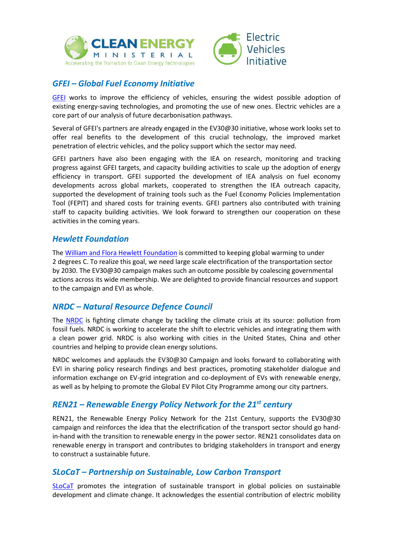



# *GFEI – Global Fuel Economy Initiative*

[GFEI](http://www.globalfueleconomy.org/) works to improve the efficiency of vehicles, ensuring the widest possible adoption of existing energy-saving technologies, and promoting the use of new ones. Electric vehicles are a core part of our analysis of future decarbonisation pathways.

Several of GFEI's partners are already engaged in the EV30@30 initiative, whose work looks set to offer real benefits to the development of this crucial technology, the improved market penetration of electric vehicles, and the policy support which the sector may need.

GFEI partners have also been engaging with the IEA on research, monitoring and tracking progress against GFEI targets, and capacity building activities to scale up the adoption of energy efficiency in transport. GFEI supported the development of IEA analysis on fuel economy developments across global markets, cooperated to strengthen the IEA outreach capacity, supported the development of training tools such as the Fuel Economy Policies Implementation Tool (FEPIT) and shared costs for training events. GFEI partners also contributed with training staff to capacity building activities. We look forward to strengthen our cooperation on these activities in the coming years.

### *Hewlett Foundation*

Th[e William and Flora Hewlett Foundation](http://www.hewlett.org/) is committed to keeping global warming to under 2 degrees C. To realize this goal, we need large scale electrification of the transportation sector by 2030. The EV30@30 campaign makes such an outcome possible by coalescing governmental actions across its wide membership. We are delighted to provide financial resources and support to the campaign and EVI as whole.

### *NRDC – Natural Resource Defence Council*

The [NRDC](https://www.nrdc.org/) is fighting climate change by tackling the climate crisis at its source: pollution from fossil fuels. NRDC is working to accelerate the shift to electric vehicles and integrating them with a clean power grid. NRDC is also working with cities in the United States, China and other countries and helping to provide clean energy solutions.

NRDC welcomes and applauds the EV30@30 Campaign and looks forward to collaborating with EVI in sharing policy research findings and best practices, promoting stakeholder dialogue and information exchange on EV-grid integration and co-deployment of EVs with renewable energy, as well as by helping to promote the Global EV Pilot City Programme among our city partners.

# *REN21 – Renewable Energy Policy Network for the 21st century*

REN21, the Renewable Energy Policy Network for the 21st Century, supports the EV30@30 campaign and reinforces the idea that the electrification of the transport sector should go handin-hand with the transition to renewable energy in the power sector. REN21 consolidates data on renewable energy in transport and contributes to bridging stakeholders in transport and energy to construct a sustainable future.

### *SLoCaT – Partnership on Sustainable, Low Carbon Transport*

[SLoCaT](http://www.slocat.net/) promotes the integration of sustainable transport in global policies on sustainable development and climate change. It acknowledges the essential contribution of electric mobility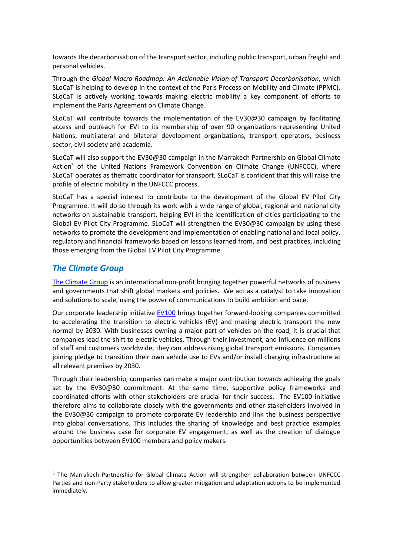towards the decarbonisation of the transport sector, including public transport, urban freight and personal vehicles.

Through the *Global Macro-Roadmap: An Actionable Vision of Transport Decarbonisation*, which SLoCaT is helping to develop in the context of the Paris Process on Mobility and Climate (PPMC), SLoCaT is actively working towards making electric mobility a key component of efforts to implement the Paris Agreement on Climate Change.

SLoCaT will contribute towards the implementation of the EV30@30 campaign by facilitating access and outreach for EVI to its membership of over 90 organizations representing United Nations, multilateral and bilateral development organizations, transport operators, business sector, civil society and academia.

SLoCaT will also support the EV30@30 campaign in the Marrakech Partnership on Global Climate Action<sup>3</sup> of the United Nations Framework Convention on Climate Change (UNFCCC), where SLoCaT operates as thematic coordinator for transport. SLoCaT is confident that this will raise the profile of electric mobility in the UNFCCC process.

SLoCaT has a special interest to contribute to the development of the Global EV Pilot City Programme. It will do so through its work with a wide range of global, regional and national city networks on sustainable transport, helping EVI in the identification of cities participating to the Global EV Pilot City Programme. SLoCaT will strengthen the EV30@30 campaign by using these networks to promote the development and implementation of enabling national and local policy, regulatory and financial frameworks based on lessons learned from, and best practices, including those emerging from the Global EV Pilot City Programme.

#### *The Climate Group*

1

[The Climate Group](http://www.theclimategroup.org/) is an international non-profit bringing together powerful networks of business and governments that shift global markets and policies. We act as a catalyst to take innovation and solutions to scale, using the power of communications to build ambition and pace.

Our corporate leadership initiative [EV100](http://www.theclimategroup.org/ev100) brings together forward-looking companies committed to accelerating the transition to electric vehicles (EV) and making electric transport the new normal by 2030. With businesses owning a major part of vehicles on the road, it is crucial that companies lead the shift to electric vehicles. Through their investment, and influence on millions of staff and customers worldwide, they can address rising global transport emissions. Companies joining pledge to transition their own vehicle use to EVs and/or install charging infrastructure at all relevant premises by 2030.

Through their leadership, companies can make a major contribution towards achieving the goals set by the EV30@30 commitment. At the same time, supportive policy frameworks and coordinated efforts with other stakeholders are crucial for their success. The EV100 initiative therefore aims to collaborate closely with the governments and other stakeholders involved in the EV30@30 campaign to promote corporate EV leadership and link the business perspective into global conversations. This includes the sharing of knowledge and best practice examples around the business case for corporate EV engagement, as well as the creation of dialogue opportunities between EV100 members and policy makers.

<sup>&</sup>lt;sup>3</sup> The Marrakech Partnership for Global Climate Action will strengthen collaboration between UNFCCC Parties and non-Party stakeholders to allow greater mitigation and adaptation actions to be implemented immediately.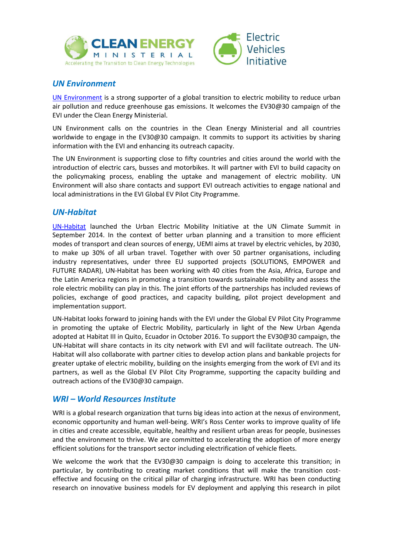



# *UN Environment*

[UN Environment](http://www.unep.org/) is a strong supporter of a global transition to electric mobility to reduce urban air pollution and reduce greenhouse gas emissions. It welcomes the EV30@30 campaign of the EVI under the Clean Energy Ministerial.

UN Environment calls on the countries in the Clean Energy Ministerial and all countries worldwide to engage in the EV30@30 campaign. It commits to support its activities by sharing information with the EVI and enhancing its outreach capacity.

The UN Environment is supporting close to fifty countries and cities around the world with the introduction of electric cars, busses and motorbikes. It will partner with EVI to build capacity on the policymaking process, enabling the uptake and management of electric mobility. UN Environment will also share contacts and support EVI outreach activities to engage national and local administrations in the EVI Global EV Pilot City Programme.

### *UN-Habitat*

[UN-Habitat](https://unhabitat.org/) launched the Urban Electric Mobility Initiative at the UN Climate Summit in September 2014. In the context of better urban planning and a transition to more efficient modes of transport and clean sources of energy, UEMI aims at travel by electric vehicles, by 2030, to make up 30% of all urban travel. Together with over 50 partner organisations, including industry representatives, under three EU supported projects (SOLUTIONS, EMPOWER and FUTURE RADAR), UN-Habitat has been working with 40 cities from the Asia, Africa, Europe and the Latin America regions in promoting a transition towards sustainable mobility and assess the role electric mobility can play in this. The joint efforts of the partnerships has included reviews of policies, exchange of good practices, and capacity building, pilot project development and implementation support.

UN-Habitat looks forward to joining hands with the EVI under the Global EV Pilot City Programme in promoting the uptake of Electric Mobility, particularly in light of the New Urban Agenda adopted at Habitat III in Quito, Ecuador in October 2016. To support the EV30@30 campaign, the UN-Habitat will share contacts in its city network with EVI and will facilitate outreach. The UN-Habitat will also collaborate with partner cities to develop action plans and bankable projects for greater uptake of electric mobility, building on the insights emerging from the work of EVI and its partners, as well as the Global EV Pilot City Programme, supporting the capacity building and outreach actions of the EV30@30 campaign.

### *WRI – World Resources Institute*

WRI is a global research organization that turns big ideas into action at the nexus of environment, economic opportunity and human well-being. WRI's Ross Center works to improve quality of life in cities and create accessible, equitable, healthy and resilient urban areas for people, businesses and the environment to thrive. We are committed to accelerating the adoption of more energy efficient solutions for the transport sector including electrification of vehicle fleets.

We welcome the work that the EV30@30 campaign is doing to accelerate this transition; in particular, by contributing to creating market conditions that will make the transition costeffective and focusing on the critical pillar of charging infrastructure. WRI has been conducting research on innovative business models for EV deployment and applying this research in pilot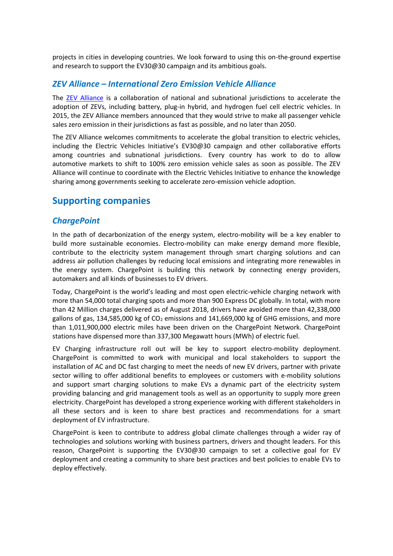projects in cities in developing countries. We look forward to using this on-the-ground expertise and research to support the EV30@30 campaign and its ambitious goals.

### *ZEV Alliance – International Zero Emission Vehicle Alliance*

The [ZEV Alliance](http://www.zevalliance.org/) is a collaboration of national and subnational jurisdictions to accelerate the adoption of ZEVs, including battery, plug-in hybrid, and hydrogen fuel cell electric vehicles. In 2015, the ZEV Alliance members announced that they would strive to make all passenger vehicle sales zero emission in their jurisdictions as fast as possible, and no later than 2050.

The ZEV Alliance welcomes commitments to accelerate the global transition to electric vehicles, including the Electric Vehicles Initiative's EV30@30 campaign and other collaborative efforts among countries and subnational jurisdictions. Every country has work to do to allow automotive markets to shift to 100% zero emission vehicle sales as soon as possible. The ZEV Alliance will continue to coordinate with the Electric Vehicles Initiative to enhance the knowledge sharing among governments seeking to accelerate zero-emission vehicle adoption.

# **Supporting companies**

### *ChargePoint*

In the path of decarbonization of the energy system, electro-mobility will be a key enabler to build more sustainable economies. Electro-mobility can make energy demand more flexible, contribute to the electricity system management through smart charging solutions and can address air pollution challenges by reducing local emissions and integrating more renewables in the energy system. ChargePoint is building this network by connecting energy providers, automakers and all kinds of businesses to EV drivers.

Today, ChargePoint is the world's leading and most open electric-vehicle charging network with more than 54,000 total charging spots and more than 900 Express DC globally. In total, with more than 42 Million charges delivered as of August 2018, drivers have avoided more than 42,338,000 gallons of gas, 134,585,000 kg of  $CO<sub>2</sub>$  emissions and 141,669,000 kg of GHG emissions, and more than 1,011,900,000 electric miles have been driven on the ChargePoint Network. ChargePoint stations have dispensed more than 337,300 Megawatt hours (MWh) of electric fuel.

EV Charging infrastructure roll out will be key to support electro-mobility deployment. ChargePoint is committed to work with municipal and local stakeholders to support the installation of AC and DC fast charging to meet the needs of new EV drivers, partner with private sector willing to offer additional benefits to employees or customers with e-mobility solutions and support smart charging solutions to make EVs a dynamic part of the electricity system providing balancing and grid management tools as well as an opportunity to supply more green electricity. ChargePoint has developed a strong experience working with different stakeholders in all these sectors and is keen to share best practices and recommendations for a smart deployment of EV infrastructure.

ChargePoint is keen to contribute to address global climate challenges through a wider ray of technologies and solutions working with business partners, drivers and thought leaders. For this reason, ChargePoint is supporting the EV30@30 campaign to set a collective goal for EV deployment and creating a community to share best practices and best policies to enable EVs to deploy effectively.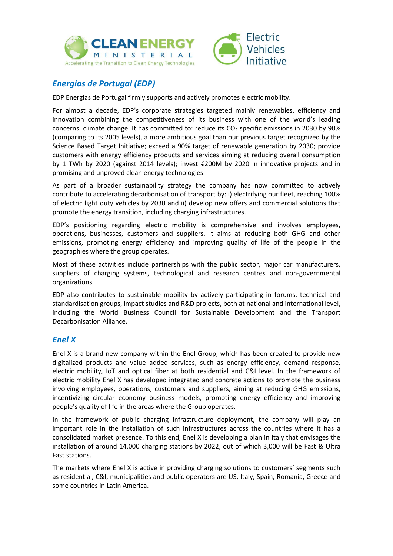



# *Energias de Portugal (EDP)*

EDP Energias de Portugal firmly supports and actively promotes electric mobility.

For almost a decade, EDP's corporate strategies targeted mainly renewables, efficiency and innovation combining the competitiveness of its business with one of the world's leading concerns: climate change. It has committed to: reduce its  $CO<sub>2</sub>$  specific emissions in 2030 by 90% (comparing to its 2005 levels), a more ambitious goal than our previous target recognized by the Science Based Target Initiative; exceed a 90% target of renewable generation by 2030; provide customers with energy efficiency products and services aiming at reducing overall consumption by 1 TWh by 2020 (against 2014 levels); invest €200M by 2020 in innovative projects and in promising and unproved clean energy technologies.

As part of a broader sustainability strategy the company has now committed to actively contribute to accelerating decarbonisation of transport by: i) electrifying our fleet, reaching 100% of electric light duty vehicles by 2030 and ii) develop new offers and commercial solutions that promote the energy transition, including charging infrastructures.

EDP's positioning regarding electric mobility is comprehensive and involves employees, operations, businesses, customers and suppliers. It aims at reducing both GHG and other emissions, promoting energy efficiency and improving quality of life of the people in the geographies where the group operates.

Most of these activities include partnerships with the public sector, major car manufacturers, suppliers of charging systems, technological and research centres and non-governmental organizations.

EDP also contributes to sustainable mobility by actively participating in forums, technical and standardisation groups, impact studies and R&D projects, both at national and international level, including the World Business Council for Sustainable Development and the Transport Decarbonisation Alliance.

### *Enel X*

Enel X is a brand new company within the Enel Group, which has been created to provide new digitalized products and value added services, such as energy efficiency, demand response, electric mobility, IoT and optical fiber at both residential and C&I level. In the framework of electric mobility Enel X has developed integrated and concrete actions to promote the business involving employees, operations, customers and suppliers, aiming at reducing GHG emissions, incentivizing circular economy business models, promoting energy efficiency and improving people's quality of life in the areas where the Group operates.

In the framework of public charging infrastructure deployment, the company will play an important role in the installation of such infrastructures across the countries where it has a consolidated market presence. To this end, Enel X is developing a plan in Italy that envisages the installation of around 14.000 charging stations by 2022, out of which 3,000 will be Fast & Ultra Fast stations.

The markets where Enel X is active in providing charging solutions to customers' segments such as residential, C&I, municipalities and public operators are US, Italy, Spain, Romania, Greece and some countries in Latin America.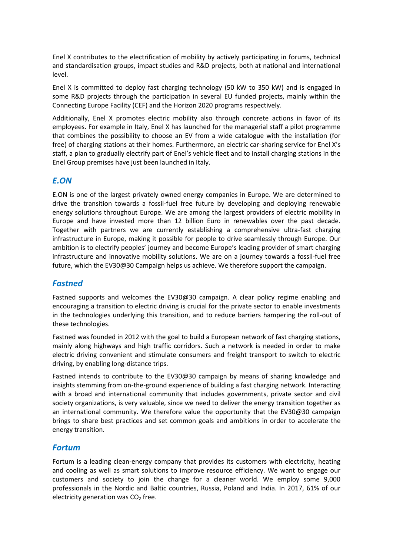Enel X contributes to the electrification of mobility by actively participating in forums, technical and standardisation groups, impact studies and R&D projects, both at national and international level.

Enel X is committed to deploy fast charging technology (50 kW to 350 kW) and is engaged in some R&D projects through the participation in several EU funded projects, mainly within the Connecting Europe Facility (CEF) and the Horizon 2020 programs respectively.

Additionally, Enel X promotes electric mobility also through concrete actions in favor of its employees. For example in Italy, Enel X has launched for the managerial staff a pilot programme that combines the possibility to choose an EV from a wide catalogue with the installation (for free) of charging stations at their homes. Furthermore, an electric car-sharing service for Enel X's staff, a plan to gradually electrify part of Enel's vehicle fleet and to install charging stations in the Enel Group premises have just been launched in Italy.

#### *E.ON*

E.ON is one of the largest privately owned energy companies in Europe. We are determined to drive the transition towards a fossil-fuel free future by developing and deploying renewable energy solutions throughout Europe. We are among the largest providers of electric mobility in Europe and have invested more than 12 billion Euro in renewables over the past decade. Together with partners we are currently establishing a comprehensive ultra-fast charging infrastructure in Europe, making it possible for people to drive seamlessly through Europe. Our ambition is to electrify peoples' journey and become Europe's leading provider of smart charging infrastructure and innovative mobility solutions. We are on a journey towards a fossil-fuel free future, which the EV30@30 Campaign helps us achieve. We therefore support the campaign.

### *Fastned*

Fastned supports and welcomes the EV30@30 campaign. A clear policy regime enabling and encouraging a transition to electric driving is crucial for the private sector to enable investments in the technologies underlying this transition, and to reduce barriers hampering the roll-out of these technologies.

Fastned was founded in 2012 with the goal to build a European network of fast charging stations, mainly along highways and high traffic corridors. Such a network is needed in order to make electric driving convenient and stimulate consumers and freight transport to switch to electric driving, by enabling long-distance trips.

Fastned intends to contribute to the EV30@30 campaign by means of sharing knowledge and insights stemming from on-the-ground experience of building a fast charging network. Interacting with a broad and international community that includes governments, private sector and civil society organizations, is very valuable, since we need to deliver the energy transition together as an international community. We therefore value the opportunity that the EV30@30 campaign brings to share best practices and set common goals and ambitions in order to accelerate the energy transition.

#### *Fortum*

Fortum is a leading clean-energy company that provides its customers with electricity, heating and cooling as well as smart solutions to improve resource efficiency. We want to engage our customers and society to join the change for a cleaner world. We employ some 9,000 professionals in the Nordic and Baltic countries, Russia, Poland and India. In 2017, 61% of our electricity generation was  $CO<sub>2</sub>$  free.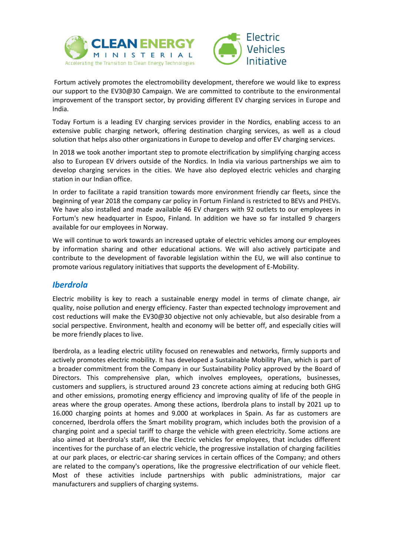



Fortum actively promotes the electromobility development, therefore we would like to express our support to the EV30@30 Campaign. We are committed to contribute to the environmental improvement of the transport sector, by providing different EV charging services in Europe and India.

Today Fortum is a leading EV charging services provider in the Nordics, enabling access to an extensive public charging network, offering destination charging services, as well as a cloud solution that helps also other organizations in Europe to develop and offer EV charging services.

In 2018 we took another important step to promote electrification by simplifying charging access also to European EV drivers outside of the Nordics. In India via various partnerships we aim to develop charging services in the cities. We have also deployed electric vehicles and charging station in our Indian office.

In order to facilitate a rapid transition towards more environment friendly car fleets, since the beginning of year 2018 the company car policy in Fortum Finland is restricted to BEVs and PHEVs. We have also installed and made available 46 EV chargers with 92 outlets to our employees in Fortum's new headquarter in Espoo, Finland. In addition we have so far installed 9 chargers available for our employees in Norway.

We will continue to work towards an increased uptake of electric vehicles among our employees by information sharing and other educational actions. We will also actively participate and contribute to the development of favorable legislation within the EU, we will also continue to promote various regulatory initiatives that supports the development of E-Mobility.

### *Iberdrola*

Electric mobility is key to reach a sustainable energy model in terms of climate change, air quality, noise pollution and energy efficiency. Faster than expected technology improvement and cost reductions will make the EV30@30 objective not only achievable, but also desirable from a social perspective. Environment, health and economy will be better off, and especially cities will be more friendly places to live.

Iberdrola, as a leading electric utility focused on renewables and networks, firmly supports and actively promotes electric mobility. It has developed a Sustainable Mobility Plan, which is part of a broader commitment from the Company in our Sustainability Policy approved by the Board of Directors. This comprehensive plan, which involves employees, operations, businesses, customers and suppliers, is structured around 23 concrete actions aiming at reducing both GHG and other emissions, promoting energy efficiency and improving quality of life of the people in areas where the group operates. Among these actions, Iberdrola plans to install by 2021 up to 16.000 charging points at homes and 9.000 at workplaces in Spain. As far as customers are concerned, Iberdrola offers the Smart mobility program, which includes both the provision of a charging point and a special tariff to charge the vehicle with green electricity. Some actions are also aimed at Iberdrola's staff, like the Electric vehicles for employees, that includes different incentives for the purchase of an electric vehicle, the progressive installation of charging facilities at our park places, or electric-car sharing services in certain offices of the Company; and others are related to the company's operations, like the progressive electrification of our vehicle fleet. Most of these activities include partnerships with public administrations, major car manufacturers and suppliers of charging systems.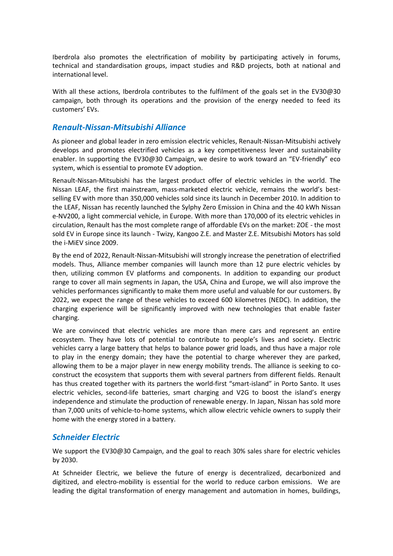Iberdrola also promotes the electrification of mobility by participating actively in forums, technical and standardisation groups, impact studies and R&D projects, both at national and international level.

With all these actions, Iberdrola contributes to the fulfilment of the goals set in the EV30@30 campaign, both through its operations and the provision of the energy needed to feed its customers' EVs.

#### *Renault-Nissan-Mitsubishi Alliance*

As pioneer and global leader in zero emission electric vehicles, Renault-Nissan-Mitsubishi actively develops and promotes electrified vehicles as a key competitiveness lever and sustainability enabler. In supporting the EV30@30 Campaign, we desire to work toward an "EV-friendly" eco system, which is essential to promote EV adoption.

Renault-Nissan-Mitsubishi has the largest product offer of electric vehicles in the world. The Nissan LEAF, the first mainstream, mass-marketed electric vehicle, remains the world's bestselling EV with more than 350,000 vehicles sold since its launch in December 2010. In addition to the LEAF, Nissan has recently launched the Sylphy Zero Emission in China and the 40 kWh Nissan e-NV200, a light commercial vehicle, in Europe. With more than 170,000 of its electric vehicles in circulation, Renault has the most complete range of affordable EVs on the market: ZOE - the most sold EV in Europe since its launch - Twizy, Kangoo Z.E. and Master Z.E. Mitsubishi Motors has sold the i-MiEV since 2009.

By the end of 2022, Renault-Nissan-Mitsubishi will strongly increase the penetration of electrified models. Thus, Alliance member companies will launch more than 12 pure electric vehicles by then, utilizing common EV platforms and components. In addition to expanding our product range to cover all main segments in Japan, the USA, China and Europe, we will also improve the vehicles performances significantly to make them more useful and valuable for our customers. By 2022, we expect the range of these vehicles to exceed 600 kilometres (NEDC). In addition, the charging experience will be significantly improved with new technologies that enable faster charging.

We are convinced that electric vehicles are more than mere cars and represent an entire ecosystem. They have lots of potential to contribute to people's lives and society. Electric vehicles carry a large battery that helps to balance power grid loads, and thus have a major role to play in the energy domain; they have the potential to charge wherever they are parked, allowing them to be a major player in new energy mobility trends. The alliance is seeking to coconstruct the ecosystem that supports them with several partners from different fields. Renault has thus created together with its partners the world-first "smart-island" in Porto Santo. It uses electric vehicles, second-life batteries, smart charging and V2G to boost the island's energy independence and stimulate the production of renewable energy. In Japan, Nissan has sold more than 7,000 units of vehicle-to-home systems, which allow electric vehicle owners to supply their home with the energy stored in a battery.

### *Schneider Electric*

We support the EV30@30 Campaign, and the goal to reach 30% sales share for electric vehicles by 2030.

At Schneider Electric, we believe the future of energy is decentralized, decarbonized and digitized, and electro-mobility is essential for the world to reduce carbon emissions. We are leading the digital transformation of energy management and automation in homes, buildings,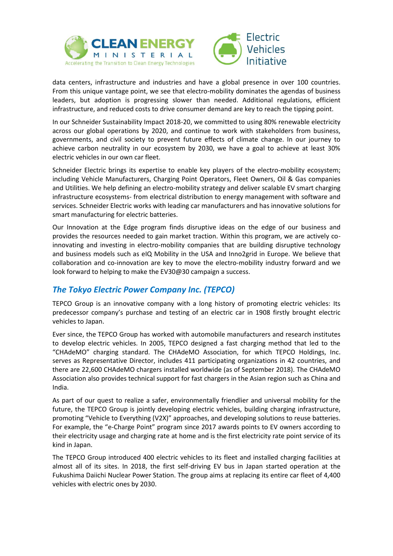



data centers, infrastructure and industries and have a global presence in over 100 countries. From this unique vantage point, we see that electro-mobility dominates the agendas of business leaders, but adoption is progressing slower than needed. Additional regulations, efficient infrastructure, and reduced costs to drive consumer demand are key to reach the tipping point.

In our Schneider Sustainability Impact 2018-20, we committed to using 80% renewable electricity across our global operations by 2020, and continue to work with stakeholders from business, governments, and civil society to prevent future effects of climate change. In our journey to achieve carbon neutrality in our ecosystem by 2030, we have a goal to achieve at least 30% electric vehicles in our own car fleet.

Schneider Electric brings its expertise to enable key players of the electro-mobility ecosystem; including Vehicle Manufacturers, Charging Point Operators, Fleet Owners, Oil & Gas companies and Utilities. We help defining an electro-mobility strategy and deliver scalable EV smart charging infrastructure ecosystems- from electrical distribution to energy management with software and services. Schneider Electric works with leading car manufacturers and has innovative solutions for smart manufacturing for electric batteries.

Our Innovation at the Edge program finds disruptive ideas on the edge of our business and provides the resources needed to gain market traction. Within this program, we are actively coinnovating and investing in electro-mobility companies that are building disruptive technology and business models such as eIQ Mobility in the USA and Inno2grid in Europe. We believe that collaboration and co-innovation are key to move the electro-mobility industry forward and we look forward to helping to make the EV30@30 campaign a success.

# *The Tokyo Electric Power Company Inc. (TEPCO)*

TEPCO Group is an innovative company with a long history of promoting electric vehicles: Its predecessor company's purchase and testing of an electric car in 1908 firstly brought electric vehicles to Japan.

Ever since, the TEPCO Group has worked with automobile manufacturers and research institutes to develop electric vehicles. In 2005, TEPCO designed a fast charging method that led to the "CHAdeMO" charging standard. The CHAdeMO Association, for which TEPCO Holdings, Inc. serves as Representative Director, includes 411 participating organizations in 42 countries, and there are 22,600 CHAdeMO chargers installed worldwide (as of September 2018). The CHAdeMO Association also provides technical support for fast chargers in the Asian region such as China and India.

As part of our quest to realize a safer, environmentally friendlier and universal mobility for the future, the TEPCO Group is jointly developing electric vehicles, building charging infrastructure, promoting "Vehicle to Everything (V2X)" approaches, and developing solutions to reuse batteries. For example, the "e-Charge Point" program since 2017 awards points to EV owners according to their electricity usage and charging rate at home and is the first electricity rate point service of its kind in Japan.

The TEPCO Group introduced 400 electric vehicles to its fleet and installed charging facilities at almost all of its sites. In 2018, the first self-driving EV bus in Japan started operation at the Fukushima Daiichi Nuclear Power Station. The group aims at replacing its entire car fleet of 4,400 vehicles with electric ones by 2030.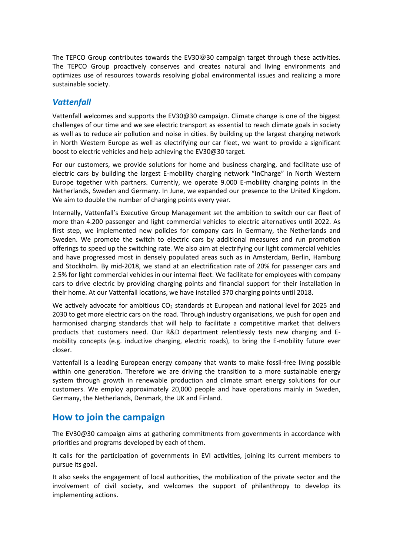The TEPCO Group contributes towards the EV30@30 campaign target through these activities. The TEPCO Group proactively conserves and creates natural and living environments and optimizes use of resources towards resolving global environmental issues and realizing a more sustainable society.

### *Vattenfall*

Vattenfall welcomes and supports the EV30@30 campaign. Climate change is one of the biggest challenges of our time and we see electric transport as essential to reach climate goals in society as well as to reduce air pollution and noise in cities. By building up the largest charging network in North Western Europe as well as electrifying our car fleet, we want to provide a significant boost to electric vehicles and help achieving the EV30@30 target.

For our customers, we provide solutions for home and business charging, and facilitate use of electric cars by building the largest E-mobility charging network "InCharge" in North Western Europe together with partners. Currently, we operate 9.000 E-mobility charging points in the Netherlands, Sweden and Germany. In June, we expanded our presence to the United Kingdom. We aim to double the number of charging points every year.

Internally, Vattenfall's Executive Group Management set the ambition to switch our car fleet of more than 4.200 passenger and light commercial vehicles to electric alternatives until 2022. As first step, we implemented new policies for company cars in Germany, the Netherlands and Sweden. We promote the switch to electric cars by additional measures and run promotion offerings to speed up the switching rate. We also aim at electrifying our light commercial vehicles and have progressed most in densely populated areas such as in Amsterdam, Berlin, Hamburg and Stockholm. By mid-2018, we stand at an electrification rate of 20% for passenger cars and 2.5% for light commercial vehicles in our internal fleet. We facilitate for employees with company cars to drive electric by providing charging points and financial support for their installation in their home. At our Vattenfall locations, we have installed 370 charging points until 2018.

We actively advocate for ambitious  $CO<sub>2</sub>$  standards at European and national level for 2025 and 2030 to get more electric cars on the road. Through industry organisations, we push for open and harmonised charging standards that will help to facilitate a competitive market that delivers products that customers need. Our R&D department relentlessly tests new charging and Emobility concepts (e.g. inductive charging, electric roads), to bring the E-mobility future ever closer.

Vattenfall is a leading European energy company that wants to make fossil-free living possible within one generation. Therefore we are driving the transition to a more sustainable energy system through growth in renewable production and climate smart energy solutions for our customers. We employ approximately 20,000 people and have operations mainly in Sweden, Germany, the Netherlands, Denmark, the UK and Finland.

# **How to join the campaign**

The EV30@30 campaign aims at gathering commitments from governments in accordance with priorities and programs developed by each of them.

It calls for the participation of governments in EVI activities, joining its current members to pursue its goal.

It also seeks the engagement of local authorities, the mobilization of the private sector and the involvement of civil society, and welcomes the support of philanthropy to develop its implementing actions.